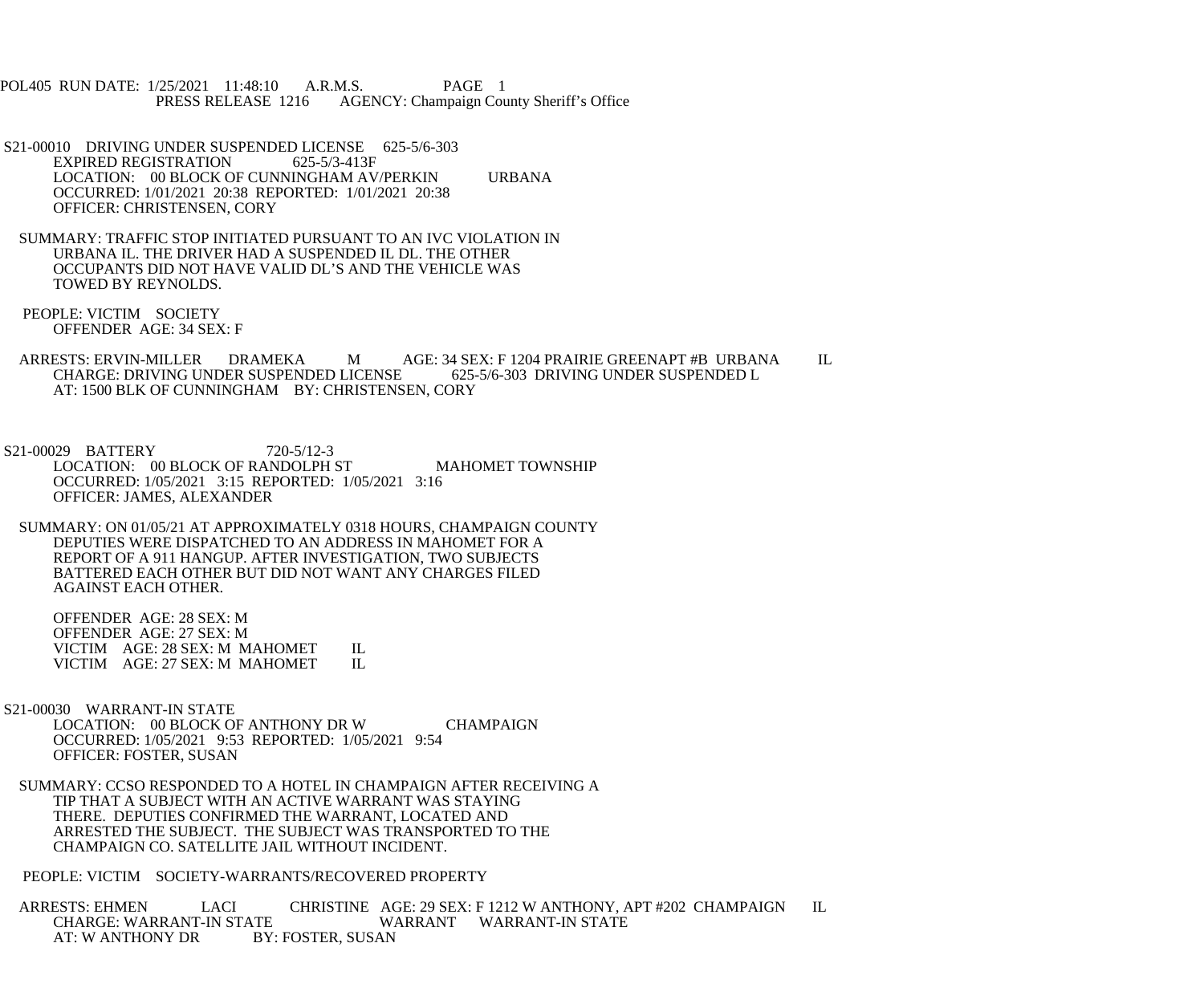POL405 RUN DATE: 1/25/2021 11:48:10 A.R.M.S. PAGE 1 PRESS RELEASE 1216 AGENCY: Champaign County Sheriff's Office

- S21-00010 DRIVING UNDER SUSPENDED LICENSE 625-5/6-303<br>EXPIRED REGISTRATION 625-5/3-413F EXPIRED REGISTRATION LOCATION: 00 BLOCK OF CUNNINGHAM AV/PERKIN URBANA OCCURRED: 1/01/2021 20:38 REPORTED: 1/01/2021 20:38 OFFICER: CHRISTENSEN, CORY
- SUMMARY: TRAFFIC STOP INITIATED PURSUANT TO AN IVC VIOLATION IN URBANA IL. THE DRIVER HAD A SUSPENDED IL DL. THE OTHER OCCUPANTS DID NOT HAVE VALID DL'S AND THE VEHICLE WAS TOWED BY REYNOLDS.
- PEOPLE: VICTIM SOCIETY OFFENDER AGE: 34 SEX: F
- ARRESTS: ERVIN-MILLER DRAMEKA M AGE: 34 SEX: F 1204 PRAIRIE GREENAPT #B URBANA IL<br>CHARGE: DRIVING UNDER SUSPENDED LICENSE 625-5/6-303 DRIVING UNDER SUSPENDED L CHARGE: DRIVING UNDER SUSPENDED LICENSE AT: 1500 BLK OF CUNNINGHAM BY: CHRISTENSEN, CORY
- S21-00029 BATTERY 720-5/12-3 LOCATION: 00 BLOCK OF RANDOLPH ST MAHOMET TOWNSHIP OCCURRED: 1/05/2021 3:15 REPORTED: 1/05/2021 3:16 OFFICER: JAMES, ALEXANDER
- SUMMARY: ON 01/05/21 AT APPROXIMATELY 0318 HOURS, CHAMPAIGN COUNTY DEPUTIES WERE DISPATCHED TO AN ADDRESS IN MAHOMET FOR A REPORT OF A 911 HANGUP. AFTER INVESTIGATION, TWO SUBJECTS BATTERED EACH OTHER BUT DID NOT WANT ANY CHARGES FILED AGAINST EACH OTHER.

 OFFENDER AGE: 28 SEX: M OFFENDER AGE: 27 SEX: M VICTIM AGE: 28 SEX: M MAHOMET IL<br>VICTIM AGE: 27 SEX: M MAHOMET IL VICTIM AGE: 27 SEX: M MAHOMET

- S21-00030 WARRANT-IN STATE LOCATION: 00 BLOCK OF ANTHONY DR W CHAMPAIGN OCCURRED: 1/05/2021 9:53 REPORTED: 1/05/2021 9:54 OFFICER: FOSTER, SUSAN
- SUMMARY: CCSO RESPONDED TO A HOTEL IN CHAMPAIGN AFTER RECEIVING A TIP THAT A SUBJECT WITH AN ACTIVE WARRANT WAS STAYING THERE. DEPUTIES CONFIRMED THE WARRANT, LOCATED AND ARRESTED THE SUBJECT. THE SUBJECT WAS TRANSPORTED TO THE CHAMPAIGN CO. SATELLITE JAIL WITHOUT INCIDENT.

PEOPLE: VICTIM SOCIETY-WARRANTS/RECOVERED PROPERTY

ARRESTS: EHMEN LACI CHRISTINE AGE: 29 SEX: F 1212 W ANTHONY, APT #202 CHAMPAIGN IL CHARGE: WARRANT WARRANT WARRANT-IN STATE CHARGE: WARRANT-IN STATE WARRANT WARRANT-IN STATE<br>AT: W ANTHONY DR BY: FOSTER. SUSAN BY: FOSTER, SUSAN